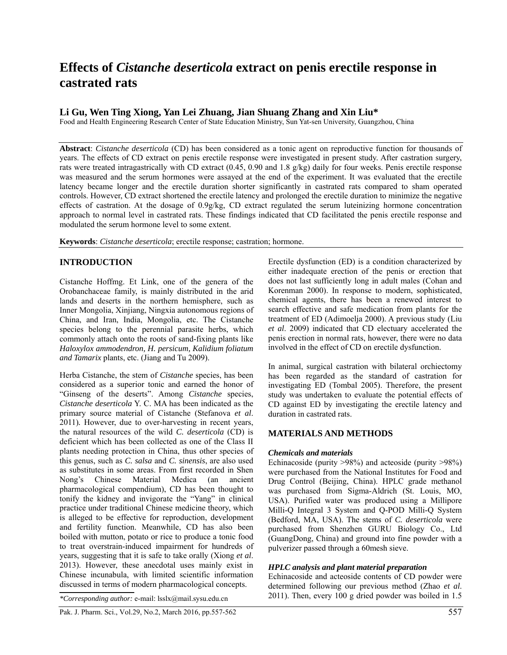# **Effects of** *Cistanche deserticola* **extract on penis erectile response in castrated rats**

## **Li Gu, Wen Ting Xiong, Yan Lei Zhuang, Jian Shuang Zhang and Xin Liu\***

Food and Health Engineering Research Center of State Education Ministry, Sun Yat-sen University, Guangzhou, China

**Abstract**: *Cistanche deserticola* (CD) has been considered as a tonic agent on reproductive function for thousands of years. The effects of CD extract on penis erectile response were investigated in present study. After castration surgery, rats were treated intragastrically with CD extract (0.45, 0.90 and 1.8 g/kg) daily for four weeks. Penis erectile response was measured and the serum hormones were assayed at the end of the experiment. It was evaluated that the erectile latency became longer and the erectile duration shorter significantly in castrated rats compared to sham operated controls. However, CD extract shortened the erectile latency and prolonged the erectile duration to minimize the negative effects of castration. At the dosage of 0.9g/kg, CD extract regulated the serum luteinizing hormone concentration approach to normal level in castrated rats. These findings indicated that CD facilitated the penis erectile response and modulated the serum hormone level to some extent.

**Keywords**: *Cistanche deserticola*; erectile response; castration; hormone.

## **INTRODUCTION**

Cistanche Hoffmg. Et Link, one of the genera of the Orobanchaceae family, is mainly distributed in the arid lands and deserts in the northern hemisphere, such as Inner Mongolia, Xinjiang, Ningxia autonomous regions of China, and Iran, India, Mongolia, etc. The Cistanche species belong to the perennial parasite herbs, which commonly attach onto the roots of sand-fixing plants like *Haloxylox ammodendron, H. persicum, Kalidium foliatum and Tamarix* plants, etc. (Jiang and Tu 2009).

Herba Cistanche, the stem of *Cistanche* species, has been considered as a superior tonic and earned the honor of "Ginseng of the deserts". Among *Cistanche* species, *Cistanche deserticola* Y. C. MA has been indicated as the primary source material of Cistanche (Stefanova *et al*. 2011)*.* However, due to over-harvesting in recent years, the natural resources of the wild *C. deserticola* (CD) is deficient which has been collected as one of the Class II plants needing protection in China, thus other species of this genus, such as *C. salsa* and *C. sinensis*, are also used as substitutes in some areas. From first recorded in Shen Nong's Chinese Material Medica (an ancient pharmacological compendium), CD has been thought to tonify the kidney and invigorate the "Yang" in clinical practice under traditional Chinese medicine theory, which is alleged to be effective for reproduction, development and fertility function. Meanwhile, CD has also been boiled with mutton, potato or rice to produce a tonic food to treat overstrain-induced impairment for hundreds of years, suggesting that it is safe to take orally (Xiong *et al*. 2013). However, these anecdotal uses mainly exist in Chinese incunabula, with limited scientific information discussed in terms of modern pharmacological concepts.

Erectile dysfunction (ED) is a condition characterized by either inadequate erection of the penis or erection that does not last sufficiently long in adult males (Cohan and Korenman 2000). In response to modern, sophisticated, chemical agents, there has been a renewed interest to search effective and safe medication from plants for the treatment of ED (Adimoelja 2000). A previous study (Liu *et al*. 2009) indicated that CD electuary accelerated the penis erection in normal rats, however, there were no data involved in the effect of CD on erectile dysfunction.

In animal, surgical castration with bilateral orchiectomy has been regarded as the standard of castration for investigating ED (Tombal 2005). Therefore, the present study was undertaken to evaluate the potential effects of CD against ED by investigating the erectile latency and duration in castrated rats.

## **MATERIALS AND METHODS**

#### *Chemicals and materials*

Echinacoside (purity >98%) and acteoside (purity >98%) were purchased from the National Institutes for Food and Drug Control (Beijing, China). HPLC grade methanol was purchased from Sigma-Aldrich (St. Louis, MO, USA). Purified water was produced using a Millipore Milli-Q Integral 3 System and Q-POD Milli-Q System (Bedford, MA, USA). The stems of *C. deserticola* were purchased from Shenzhen GURU Biology Co., Ltd (GuangDong, China) and ground into fine powder with a pulverizer passed through a 60mesh sieve.

#### *HPLC analysis and plant material preparation*

Echinacoside and acteoside contents of CD powder were determined following our previous method (Zhao *et al*. 2011). Then, every 100 g dried powder was boiled in 1.5 *\*Corresponding author:* e-mail: lsslx@mail.sysu.edu.cn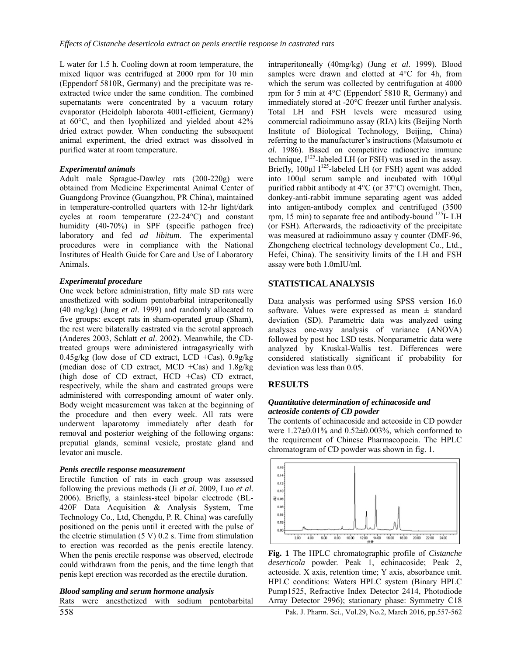L water for 1.5 h. Cooling down at room temperature, the mixed liquor was centrifuged at 2000 rpm for 10 min (Eppendorf 5810R, Germany) and the precipitate was reextracted twice under the same condition. The combined supernatants were concentrated by a vacuum rotary evaporator (Heidolph laborota 4001-efficient, Germany) at 60°C, and then lyophilized and yielded about 42% dried extract powder. When conducting the subsequent animal experiment, the dried extract was dissolved in purified water at room temperature.

### *Experimental animals*

Adult male Sprague-Dawley rats (200-220g) were obtained from Medicine Experimental Animal Center of Guangdong Province (Guangzhou, PR China), maintained in temperature-controlled quarters with 12-hr light/dark cycles at room temperature (22-24°C) and constant humidity (40-70%) in SPF (specific pathogen free) laboratory and fed *ad libitum*. The experimental procedures were in compliance with the National Institutes of Health Guide for Care and Use of Laboratory Animals.

### *Experimental procedure*

One week before administration, fifty male SD rats were anesthetized with sodium pentobarbital intraperitoneally (40 mg/kg) (Jung *et al*. 1999) and randomly allocated to five groups: except rats in sham-operated group (Sham), the rest were bilaterally castrated via the scrotal approach (Anderes 2003, Schlatt *et al*. 2002). Meanwhile, the CDtreated groups were administered intragasyrically with 0.45g/kg (low dose of CD extract, LCD +Cas), 0.9g/kg (median dose of CD extract, MCD +Cas) and  $1.8g/kg$ (high dose of CD extract, HCD +Cas) CD extract, respectively, while the sham and castrated groups were administered with corresponding amount of water only. Body weight measurement was taken at the beginning of the procedure and then every week. All rats were underwent laparotomy immediately after death for removal and posterior weighing of the following organs: preputial glands, seminal vesicle, prostate gland and levator ani muscle.

#### *Penis erectile response measurement*

Erectile function of rats in each group was assessed following the previous methods (Ji *et al*. 2009, Luo *et al*. 2006). Briefly, a stainless-steel bipolar electrode (BL-420F Data Acquisition & Analysis System, Tme Technology Co., Ltd, Chengdu, P. R. China) was carefully positioned on the penis until it erected with the pulse of the electric stimulation  $(5 V)$  0.2 s. Time from stimulation to erection was recorded as the penis erectile latency. When the penis erectile response was observed, electrode could withdrawn from the penis, and the time length that penis kept erection was recorded as the erectile duration.

| <b>Blood sampling and serum hormone analysis</b> |  |  |  |  |                                                  |  |  |  |  |  |
|--------------------------------------------------|--|--|--|--|--------------------------------------------------|--|--|--|--|--|
|                                                  |  |  |  |  | Rats were anesthetized with sodium pentobarbital |  |  |  |  |  |

intraperitoneally (40mg/kg) (Jung *et al*. 1999). Blood samples were drawn and clotted at 4<sup>o</sup>C for 4h, from which the serum was collected by centrifugation at 4000 rpm for 5 min at 4°C (Eppendorf 5810 R, Germany) and immediately stored at -20°C freezer until further analysis. Total LH and FSH levels were measured using commercial radioimmuno assay (RIA) kits (Beijing North Institute of Biological Technology, Beijing, China) referring to the manufacturer's instructions (Matsumoto *et al*. 1986). Based on competitive radioactive immune technique,  $I^{125}$ -labeled LH (or FSH) was used in the assay. Briefly,  $100 \mu I$ <sup>125</sup>-labeled LH (or FSH) agent was added into 100µl serum sample and incubated with 100µl purified rabbit antibody at 4°C (or 37°C) overnight. Then, donkey-anti-rabbit immune separating agent was added into antigen-antibody complex and centrifuged (3500 rpm, 15 min) to separate free and antibody-bound  $^{125}I$ - LH (or FSH). Afterwards, the radioactivity of the precipitate was measured at radioimmuno assay γ counter (DMF-96, Zhongcheng electrical technology development Co., Ltd., Hefei, China). The sensitivity limits of the LH and FSH assay were both 1.0mIU/ml.

## **STATISTICAL ANALYSIS**

Data analysis was performed using SPSS version 16.0 software. Values were expressed as mean  $\pm$  standard deviation (SD). Parametric data was analyzed using analyses one-way analysis of variance (ANOVA) followed by post hoc LSD tests. Nonparametric data were analyzed by Kruskal-Wallis test. Differences were considered statistically significant if probability for deviation was less than 0.05.

## **RESULTS**

### *Quantitative determination of echinacoside and acteoside contents of CD powder*

The contents of echinacoside and acteoside in CD powder were  $1.27 \pm 0.01\%$  and  $0.52 \pm 0.003\%$ , which conformed to the requirement of Chinese Pharmacopoeia. The HPLC chromatogram of CD powder was shown in fig. 1.



**Fig. 1** The HPLC chromatographic profile of *Cistanche deserticola* powder. Peak 1, echinacoside; Peak 2, acteoside. X axis, retention time; Y axis, absorbance unit. HPLC conditions: Waters HPLC system (Binary HPLC Pump1525, Refractive Index Detector 2414, Photodiode Array Detector 2996); stationary phase: Symmetry C18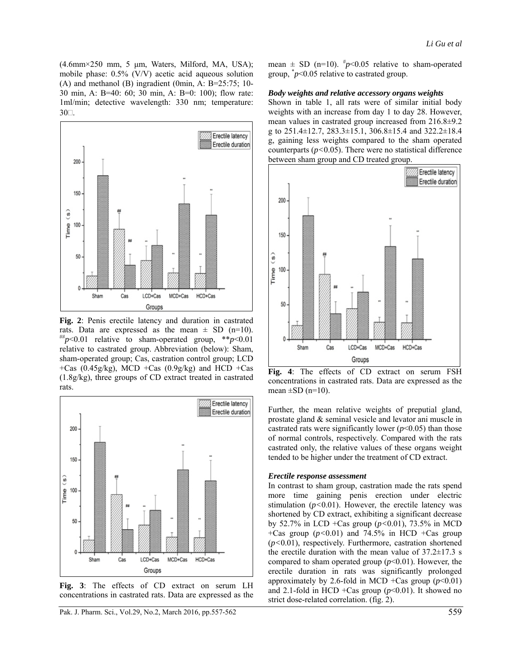*Li Gu et al*

(4.6mm×250 mm, 5 µm, Waters, Milford, MA, USA); mobile phase: 0.5% (V/V) acetic acid aqueous solution (A) and methanol (B) ingradient (0min, A:  $B=25:75$ ; 10-30 min, A: B=40: 60; 30 min, A: B=0: 100); flow rate: 1ml/min; detective wavelength: 330 nm; temperature:  $30$ .



**Fig. 2**: Penis erectile latency and duration in castrated rats. Data are expressed as the mean  $\pm$  SD (n=10).  $^{**}p$ <0.01 relative to sham-operated group, \*\* $p$ <0.01 relative to castrated group. Abbreviation (below): Sham, sham-operated group; Cas, castration control group; LCD +Cas (0.45g/kg), MCD +Cas (0.9g/kg) and HCD +Cas (1.8g/kg), three groups of CD extract treated in castrated rats.



**Fig. 3**: The effects of CD extract on serum LH concentrations in castrated rats. Data are expressed as the

### *Body weights and relative accessory organs weights*

Shown in table 1, all rats were of similar initial body weights with an increase from day 1 to day 28. However, mean values in castrated group increased from 216.8±9.2 g to 251.4±12.7, 283.3±15.1, 306.8±15.4 and 322.2±18.4 g, gaining less weights compared to the sham operated counterparts  $(p<0.05)$ . There were no statistical difference between sham group and CD treated group.



**Fig. 4**: The effects of CD extract on serum FSH concentrations in castrated rats. Data are expressed as the mean  $\pm$ SD (n=10).

Further, the mean relative weights of preputial gland, prostate gland & seminal vesicle and levator ani muscle in castrated rats were significantly lower  $(p<0.05)$  than those of normal controls, respectively. Compared with the rats castrated only, the relative values of these organs weight tended to be higher under the treatment of CD extract.

#### *Erectile response assessment*

In contrast to sham group, castration made the rats spend more time gaining penis erection under electric stimulation (*p<*0.01). However, the erectile latency was shortened by CD extract, exhibiting a significant decrease by 52.7% in LCD +Cas group (*p<*0.01), 73.5% in MCD  $+C$ as group ( $p < 0.01$ ) and 74.5% in HCD  $+C$ as group (*p<*0.01), respectively. Furthermore, castration shortened the erectile duration with the mean value of  $37.2 \pm 17.3$  s compared to sham operated group  $(p<0.01)$ . However, the erectile duration in rats was significantly prolonged approximately by 2.6-fold in MCD +Cas group  $(p<0.01)$ and 2.1-fold in HCD +Cas group  $(p<0.01)$ . It showed no strict dose-related correlation. (fig. 2).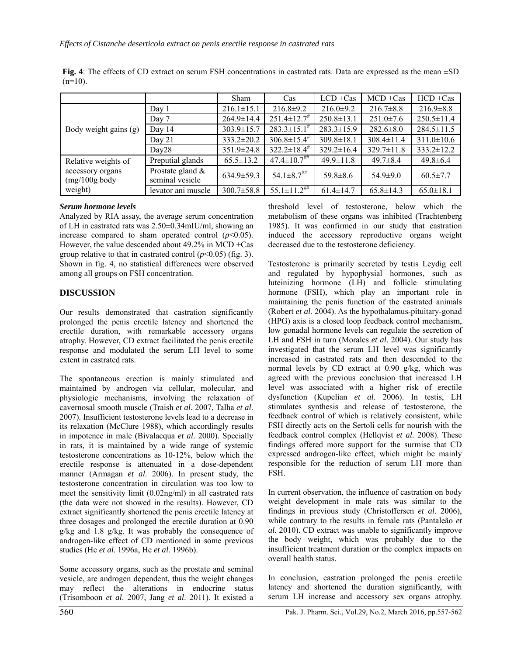|                                     |                                        | <b>Sham</b>      | Cas                                          | $LCD + Cas$      | $MCD + Cas$      | $HCD + Cas$      |
|-------------------------------------|----------------------------------------|------------------|----------------------------------------------|------------------|------------------|------------------|
|                                     | Day 1                                  | $216.1 \pm 15.1$ | $216.8 \pm 9.2$                              | $216.0+9.2$      | $216.7 \pm 8.8$  | $216.9 \pm 8.8$  |
|                                     | Day 7                                  | $264.9 \pm 14.4$ | $251.4 \pm 12.7^{\#}$                        | $250.8 \pm 13.1$ | $251.0 \pm 7.6$  | $250.5 \pm 11.4$ |
| Body weight gains (g)               | Day 14                                 | 303.9±15.7       | $283.3 \pm 15.1^{\frac{1}{4}}$               | $283.3 \pm 15.9$ | $282.6 \pm 8.0$  | $284.5 \pm 11.5$ |
|                                     | Day $21$                               | $333.2 \pm 20.2$ | $306.8 \pm 15.4^{\#}$                        | $309.8 \pm 18.1$ | $308.4 \pm 11.4$ | $311.0 \pm 10.6$ |
|                                     | Day28                                  | $351.9 \pm 24.8$ | $322.2 \pm 18.4^{\#}$                        | $329.2 \pm 16.4$ | $329.7 \pm 11.8$ | $333.2 \pm 12.2$ |
| Relative weights of                 | Preputial glands                       | $65.5 \pm 13.2$  | $47.4 \pm 10.7$ <sup>\{\perriffur{1}}}</sup> | $49.9 \pm 11.8$  | $49.7 \pm 8.4$   | $49.8 \pm 6.4$   |
| accessory organs<br>$(mg/100g$ body | Prostate gland $\&$<br>seminal vesicle | $634.9 \pm 59.3$ | $54.1 \pm 8.7$ <sup>***</sup>                | $59.8 \pm 8.6$   | $54.9 \pm 9.0$   | $60.5 \pm 7.7$   |
| weight)                             | levator ani muscle                     | $300.7 \pm 58.8$ | $55.1 \pm 1.2$ <sup>##</sup>                 | $61.4 \pm 14.7$  | $65.8 \pm 14.3$  | $65.0 \pm 18.1$  |

**Fig. 4**: The effects of CD extract on serum FSH concentrations in castrated rats. Data are expressed as the mean ±SD  $(n=10)$ .

## *Serum hormone levels*

Analyzed by RIA assay, the average serum concentration of LH in castrated rats was 2.50±0.34mIU/ml, showing an increase compared to sham operated control  $(p<0.05)$ . However, the value descended about 49.2% in MCD +Cas group relative to that in castrated control  $(p<0.05)$  (fig. 3). Shown in fig. 4, no statistical differences were observed among all groups on FSH concentration.

# **DISCUSSION**

Our results demonstrated that castration significantly prolonged the penis erectile latency and shortened the erectile duration, with remarkable accessory organs atrophy. However, CD extract facilitated the penis erectile response and modulated the serum LH level to some extent in castrated rats.

The spontaneous erection is mainly stimulated and maintained by androgen via cellular, molecular, and physiologic mechanisms, involving the relaxation of cavernosal smooth muscle (Traish *et al*. 2007, Talha *et al*. 2007). Insufficient testosterone levels lead to a decrease in its relaxation (McClure 1988), which accordingly results in impotence in male (Bivalacqua *et al*. 2000). Specially in rats, it is maintained by a wide range of systemic testosterone concentrations as 10-12%, below which the erectile response is attenuated in a dose-dependent manner (Armagan *et al*. 2006). In present study, the testosterone concentration in circulation was too low to meet the sensitivity limit (0.02ng/ml) in all castrated rats (the data were not showed in the results). However, CD extract significantly shortened the penis erectile latency at three dosages and prolonged the erectile duration at 0.90 g/kg and 1.8 g/kg. It was probably the consequence of androgen-like effect of CD mentioned in some previous studies (He *et al*. 1996a, He *et al*. 1996b).

Some accessory organs, such as the prostate and seminal vesicle, are androgen dependent, thus the weight changes may reflect the alterations in endocrine status (Trisomboon *et al*. 2007, Jang *et al*. 2011). It existed a

threshold level of testosterone, below which the metabolism of these organs was inhibited (Trachtenberg 1985). It was confirmed in our study that castration induced the accessory reproductive organs weight decreased due to the testosterone deficiency.

Testosterone is primarily secreted by testis Leydig cell and regulated by hypophysial hormones, such as luteinizing hormone (LH) and follicle stimulating hormone (FSH), which play an important role in maintaining the penis function of the castrated animals (Robert *et al*. 2004). As the hypothalamus-pituitary-gonad (HPG) axis is a closed loop feedback control mechanism, low gonadal hormone levels can regulate the secretion of LH and FSH in turn (Morales *et al*. 2004). Our study has investigated that the serum LH level was significantly increased in castrated rats and then descended to the normal levels by CD extract at 0.90 g/kg, which was agreed with the previous conclusion that increased LH level was associated with a higher risk of erectile dysfunction (Kupelian *et al*. 2006). In testis, LH stimulates synthesis and release of testosterone, the feedback control of which is relatively consistent, while FSH directly acts on the Sertoli cells for nourish with the feedback control complex (Hellqvist *et al*. 2008). These findings offered more support for the surmise that CD expressed androgen-like effect, which might be mainly responsible for the reduction of serum LH more than FSH.

In current observation, the influence of castration on body weight development in male rats was similar to the findings in previous study (Christoffersen *et al*. 2006), while contrary to the results in female rats (Pantaleão *et al*. 2010). CD extract was unable to significantly improve the body weight, which was probably due to the insufficient treatment duration or the complex impacts on overall health status.

In conclusion, castration prolonged the penis erectile latency and shortened the duration significantly, with serum LH increase and accessory sex organs atrophy.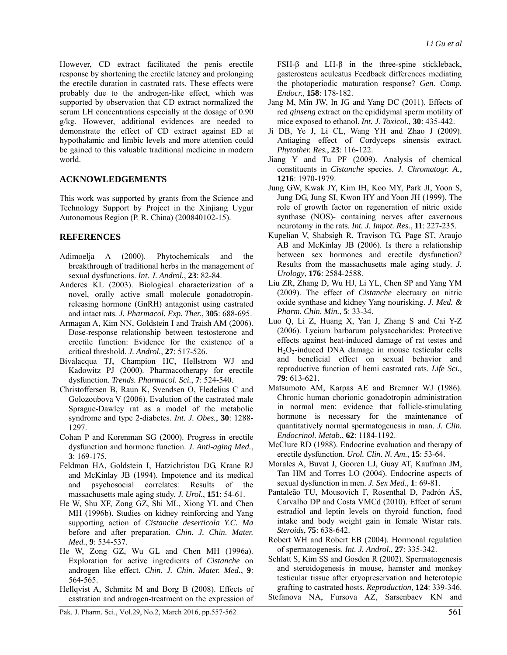However, CD extract facilitated the penis erectile response by shortening the erectile latency and prolonging the erectile duration in castrated rats. These effects were probably due to the androgen-like effect, which was supported by observation that CD extract normalized the serum LH concentrations especially at the dosage of 0.90 g/kg. However, additional evidences are needed to demonstrate the effect of CD extract against ED at hypothalamic and limbic levels and more attention could be gained to this valuable traditional medicine in modern world.

## **ACKNOWLEDGEMENTS**

This work was supported by grants from the Science and Technology Support by Project in the Xinjiang Uygur Autonomous Region (P. R. China) (200840102-15).

## **REFERENCES**

- Adimoelja A (2000). Phytochemicals and the breakthrough of traditional herbs in the management of sexual dysfunctions. *Int. J. Androl.*, **23**: 82-84.
- Anderes KL (2003). Biological characterization of a novel, orally active small molecule gonadotropinreleasing hormone (GnRH) antagonist using castrated and intact rats. *J. Pharmacol. Exp. Ther.*, **305**: 688-695.
- Armagan A, Kim NN, Goldstein I and Traish AM (2006). Dose-response relationship between testosterone and erectile function: Evidence for the existence of a critical threshold. *J. Androl.*, **27**: 517-526.
- Bivalacqua TJ, Champion HC, Hellstrom WJ and Kadowitz PJ (2000). Pharmacotherapy for erectile dysfunction. *Trends. Pharmacol. Sci.*, **7**: 524-540.
- Christoffersen B, Raun K, Svendsen O, Fledelius C and Golozoubova V (2006). Evalution of the castrated male Sprague-Dawley rat as a model of the metabolic syndrome and type 2-diabetes. *Int. J. Obes.*, **30**: 1288- 1297.
- Cohan P and Korenman SG (2000). Progress in erectile dysfunction and hormone function. *J. Anti-aging Med.*, **3**: 169-175.
- Feldman HA, Goldstein I, Hatzichristou DG, Krane RJ and McKinlay JB (1994). Impotence and its medical and psychosocial correlates: Results of the massachusetts male aging study. *J. Urol.*, **151**: 54-61.
- He W, Shu XF, Zong GZ, Shi ML, Xiong YL and Chen MH (1996b). Studies on kidney reinforcing and Yang supporting action of *Cistanche deserticola Y.C. Ma* before and after preparation. *Chin. J. Chin. Mater. Med.*, **9**: 534-537.
- He W, Zong GZ, Wu GL and Chen MH (1996a). Exploration for active ingredients of *Cistanche* on androgen like effect. *Chin. J. Chin. Mater. Med.*, **9**: 564-565.
- Hellqvist A, Schmitz M and Borg B (2008). Effects of castration and androgen-treatment on the expression of

FSH-β and LH-β in the three-spine stickleback, gasterosteus aculeatus Feedback differences mediating the photoperiodic maturation response? *Gen. Comp. Endocr.*, **158**: 178-182.

- Jang M, Min JW, In JG and Yang DC (2011). Effects of red *ginseng* extract on the epididymal sperm motility of mice exposed to ethanol. *Int. J. Toxicol.*, **30**: 435-442.
- Ji DB, Ye J, Li CL, Wang YH and Zhao J (2009). Antiaging effect of Cordyceps sinensis extract. *Phytother. Res.*, **23**: 116-122.
- Jiang Y and Tu PF (2009). Analysis of chemical constituents in *Cistanche* species. *J. Chromatogr. A.*, **1216**: 1970-1979.
- Jung GW, Kwak JY, Kim IH, Koo MY, Park JI, Yoon S, Jung DG, Jung SI, Kwon HY and Yoon JH (1999). The role of growth factor on regeneration of nitric oxide synthase (NOS)- containing nerves after cavernous neurotomy in the rats. *Int. J. Impot. Res.*, **11**: 227-235.
- Kupelian V, Shabsigh R, Travison TG, Page ST, Araujo AB and McKinlay JB (2006). Is there a relationship between sex hormones and erectile dysfunction? Results from the massachusetts male aging study. *J. Urology*, **176**: 2584-2588.
- Liu ZR, Zhang D, Wu HJ, Li YL, Chen SP and Yang YM (2009). The effect of *Cistanche* electuary on nitric oxide synthase and kidney Yang nourisking. *J. Med. & Pharm. Chin. Min.*, **5**: 33-34.
- Luo Q, Li Z, Huang X, Yan J, Zhang S and Cai Y-Z (2006). Lycium barbarum polysaccharides: Protective effects against heat-induced damage of rat testes and H2O2-induced DNA damage in mouse testicular cells and beneficial effect on sexual behavior and reproductive function of hemi castrated rats. *Life Sci.*, **79**: 613-621.
- Matsumoto AM, Karpas AE and Bremner WJ (1986). Chronic human chorionic gonadotropin administration in normal men: evidence that follicle-stimulating hormone is necessary for the maintenance of quantitatively normal spermatogenesis in man. *J. Clin. Endocrinol. Metab.*, **62**: 1184-1192.
- McClure RD (1988). Endocrine evaluation and therapy of erectile dysfunction. *Urol. Clin. N. Am.*, **15**: 53-64.
- Morales A, Buvat J, Gooren LJ, Guay AT, Kaufman JM, Tan HM and Torres LO (2004). Endocrine aspects of sexual dysfunction in men. *J. Sex Med.*, **1**: 69-81.
- Pantaleão TU, Mousovich F, Rosenthal D, Padrón ÁS, Carvalho DP and Costa VMCd (2010). Effect of serum estradiol and leptin levels on thyroid function, food intake and body weight gain in female Wistar rats. *Steroids*, **75**: 638-642.
- Robert WH and Robert EB (2004). Hormonal regulation of spermatogenesis. *Int. J. Androl.*, **27**: 335-342.
- Schlatt S, Kim SS and Gosden R (2002). Spermatogenesis and steroidogenesis in mouse, hamster and monkey testicular tissue after cryopreservation and heterotopic grafting to castrated hosts. *Reproduction*, **124**: 339-346.

Stefanova NA, Fursova AZ, Sarsenbaev KN and